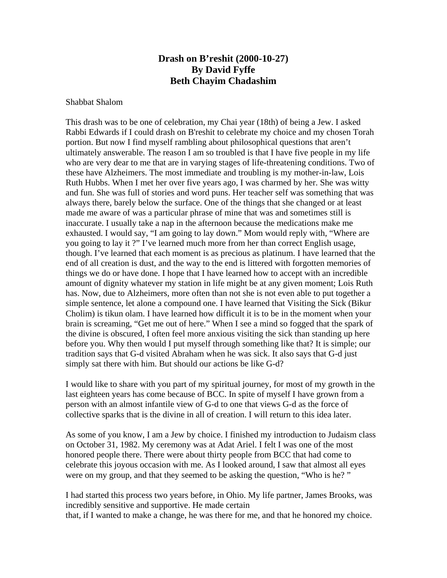## **Drash on B'reshit (2000-10-27) By David Fyffe Beth Chayim Chadashim**

## Shabbat Shalom

This drash was to be one of celebration, my Chai year (18th) of being a Jew. I asked Rabbi Edwards if I could drash on B'reshit to celebrate my choice and my chosen Torah portion. But now I find myself rambling about philosophical questions that aren't ultimately answerable. The reason I am so troubled is that I have five people in my life who are very dear to me that are in varying stages of life-threatening conditions. Two of these have Alzheimers. The most immediate and troubling is my mother-in-law, Lois Ruth Hubbs. When I met her over five years ago, I was charmed by her. She was witty and fun. She was full of stories and word puns. Her teacher self was something that was always there, barely below the surface. One of the things that she changed or at least made me aware of was a particular phrase of mine that was and sometimes still is inaccurate. I usually take a nap in the afternoon because the medications make me exhausted. I would say, "I am going to lay down." Mom would reply with, "Where are you going to lay it ?" I've learned much more from her than correct English usage, though. I've learned that each moment is as precious as platinum. I have learned that the end of all creation is dust, and the way to the end is littered with forgotten memories of things we do or have done. I hope that I have learned how to accept with an incredible amount of dignity whatever my station in life might be at any given moment; Lois Ruth has. Now, due to Alzheimers, more often than not she is not even able to put together a simple sentence, let alone a compound one. I have learned that Visiting the Sick (Bikur Cholim) is tikun olam. I have learned how difficult it is to be in the moment when your brain is screaming, "Get me out of here." When I see a mind so fogged that the spark of the divine is obscured, I often feel more anxious visiting the sick than standing up here before you. Why then would I put myself through something like that? It is simple; our tradition says that G-d visited Abraham when he was sick. It also says that G-d just simply sat there with him. But should our actions be like G-d?

I would like to share with you part of my spiritual journey, for most of my growth in the last eighteen years has come because of BCC. In spite of myself I have grown from a person with an almost infantile view of G-d to one that views G-d as the force of collective sparks that is the divine in all of creation. I will return to this idea later.

As some of you know, I am a Jew by choice. I finished my introduction to Judaism class on October 31, 1982. My ceremony was at Adat Ariel. I felt I was one of the most honored people there. There were about thirty people from BCC that had come to celebrate this joyous occasion with me. As I looked around, I saw that almost all eyes were on my group, and that they seemed to be asking the question, "Who is he? "

I had started this process two years before, in Ohio. My life partner, James Brooks, was incredibly sensitive and supportive. He made certain that, if I wanted to make a change, he was there for me, and that he honored my choice.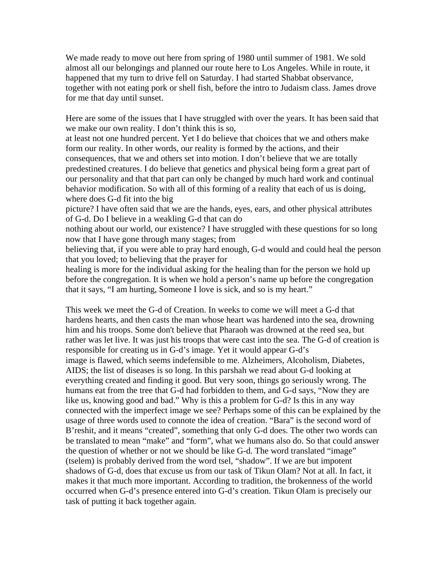We made ready to move out here from spring of 1980 until summer of 1981. We sold almost all our belongings and planned our route here to Los Angeles. While in route, it happened that my turn to drive fell on Saturday. I had started Shabbat observance, together with not eating pork or shell fish, before the intro to Judaism class. James drove for me that day until sunset.

Here are some of the issues that I have struggled with over the years. It has been said that we make our own reality. I don't think this is so,

at least not one hundred percent. Yet I do believe that choices that we and others make form our reality. In other words, our reality is formed by the actions, and their consequences, that we and others set into motion. I don't believe that we are totally predestined creatures. I do believe that genetics and physical being form a great part of our personality and that that part can only be changed by much hard work and continual behavior modification. So with all of this forming of a reality that each of us is doing, where does G-d fit into the big

picture? I have often said that we are the hands, eyes, ears, and other physical attributes of G-d. Do I believe in a weakling G-d that can do

nothing about our world, our existence? I have struggled with these questions for so long now that I have gone through many stages; from

believing that, if you were able to pray hard enough, G-d would and could heal the person that you loved; to believing that the prayer for

healing is more for the individual asking for the healing than for the person we hold up before the congregation. It is when we hold a person's name up before the congregation that it says, "I am hurting, Someone I love is sick, and so is my heart."

This week we meet the G-d of Creation. In weeks to come we will meet a G-d that hardens hearts, and then casts the man whose heart was hardened into the sea, drowning him and his troops. Some don't believe that Pharaoh was drowned at the reed sea, but rather was let live. It was just his troops that were cast into the sea. The G-d of creation is responsible for creating us in G-d's image. Yet it would appear G-d's image is flawed, which seems indefensible to me. Alzheimers, Alcoholism, Diabetes, AIDS; the list of diseases is so long. In this parshah we read about G-d looking at everything created and finding it good. But very soon, things go seriously wrong. The humans eat from the tree that G-d had forbidden to them, and G-d says, "Now they are like us, knowing good and bad." Why is this a problem for G-d? Is this in any way connected with the imperfect image we see? Perhaps some of this can be explained by the usage of three words used to connote the idea of creation. "Bara" is the second word of B'reshit, and it means "created", something that only G-d does. The other two words can be translated to mean "make" and "form", what we humans also do. So that could answer the question of whether or not we should be like G-d. The word translated "image" (tselem) is probably derived from the word tsel, "shadow". If we are but impotent shadows of G-d, does that excuse us from our task of Tikun Olam? Not at all. In fact, it makes it that much more important. According to tradition, the brokenness of the world occurred when G-d's presence entered into G-d's creation. Tikun Olam is precisely our task of putting it back together again.